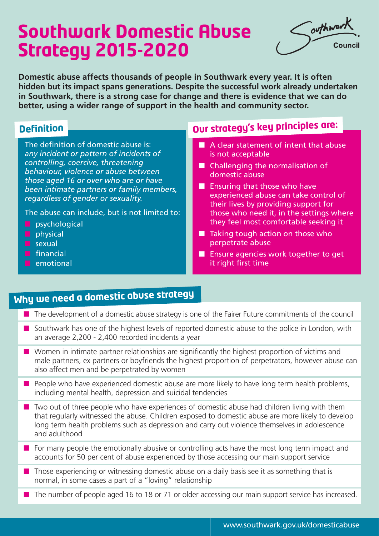# **Southwark Domestic Abuse Strategy 2015-2020**

Southwark touncil

**Domestic abuse affects thousands of people in Southwark every year. It is often hidden but its impact spans generations. Despite the successful work already undertaken in Southwark, there is a strong case for change and there is evidence that we can do better, using a wider range of support in the health and community sector.**

The definition of domestic abuse is: *any incident or pattern of incidents of controlling, coercive, threatening behaviour, violence or abuse between those aged 16 or over who are or have been intimate partners or family members, regardless of gender or sexuality.* 

The abuse can include, but is not limited to:

- $\Box$  psychological
- $\Box$  physical
- $\blacksquare$  sexual
- $\Box$  financial
- **n** emotional

## **Definition Our strategy's key principles are:**

- $\blacksquare$  A clear statement of intent that abuse is not acceptable
- $\blacksquare$  Challenging the normalisation of domestic abuse
- $\blacksquare$  Ensuring that those who have experienced abuse can take control of their lives by providing support for those who need it, in the settings where they feel most comfortable seeking it
- $\blacksquare$  Taking tough action on those who perpetrate abuse
- $\blacksquare$  Ensure agencies work together to get it right first time

# **Why we need a domestic abuse strategy**

- $\blacksquare$  The development of a domestic abuse strategy is one of the Fairer Future commitments of the council
- Southwark has one of the highest levels of reported domestic abuse to the police in London, with an average 2,200 - 2,400 recorded incidents a year
- $\blacksquare$  Women in intimate partner relationships are significantly the highest proportion of victims and male partners, ex partners or boyfriends the highest proportion of perpetrators, however abuse can also affect men and be perpetrated by women
- n People who have experienced domestic abuse are more likely to have long term health problems, including mental health, depression and suicidal tendencies
- $\blacksquare$  Two out of three people who have experiences of domestic abuse had children living with them that regularly witnessed the abuse. Children exposed to domestic abuse are more likely to develop long term health problems such as depression and carry out violence themselves in adolescence and adulthood
- $\blacksquare$  For many people the emotionally abusive or controlling acts have the most long term impact and accounts for 50 per cent of abuse experienced by those accessing our main support service
- $\blacksquare$  Those experiencing or witnessing domestic abuse on a daily basis see it as something that is normal, in some cases a part of a "loving" relationship
- $\blacksquare$  The number of people aged 16 to 18 or 71 or older accessing our main support service has increased.